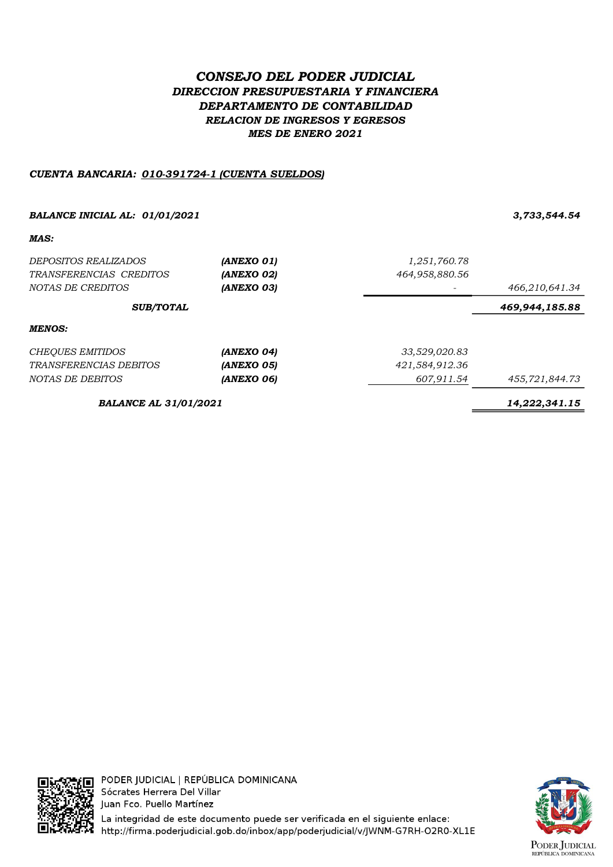# CONSEJO DEL PODER JUDICIAL DIRECCION PRESUPUESTARIA Y FINANCIERA DEPARTAMENTO DE CONTABILIDAD RELACION DE INGRESOS Y EGRESOS MES DE ENERO 2021

## CUENTA BANCARIA: 010-391724-1 (CUENTA SUELDOS)

## BALANCE INICIAL AL: 01/01/2021 3,733,544.54

MAS:

| <i>DEPOSITOS REALIZADOS</i>   | (ANEXO 01)        | 1,251,760.78   |                |
|-------------------------------|-------------------|----------------|----------------|
| TRANSFERENCIAS CREDITOS       | <b>(ANEXO 02)</b> | 464,958,880.56 |                |
| NOTAS DE CREDITOS             | <b>(ANEXO 03)</b> |                | 466,210,641.34 |
| <b>SUB/TOTAL</b>              |                   |                | 469,944,185.88 |
| MENOS:                        |                   |                |                |
| <b>CHEQUES EMITIDOS</b>       | (ANEXO 04)        | 33,529,020.83  |                |
| <i>TRANSFERENCIAS DEBITOS</i> | <b>(ANEXO 05)</b> | 421,584,912.36 |                |
| NOTAS DE DEBITOS              | (ANEXO 06)        | 607,911.54     | 455,721,844.73 |
| <b>BALANCE AL 31/01/2021</b>  |                   |                | 14,222,341.15  |

Г

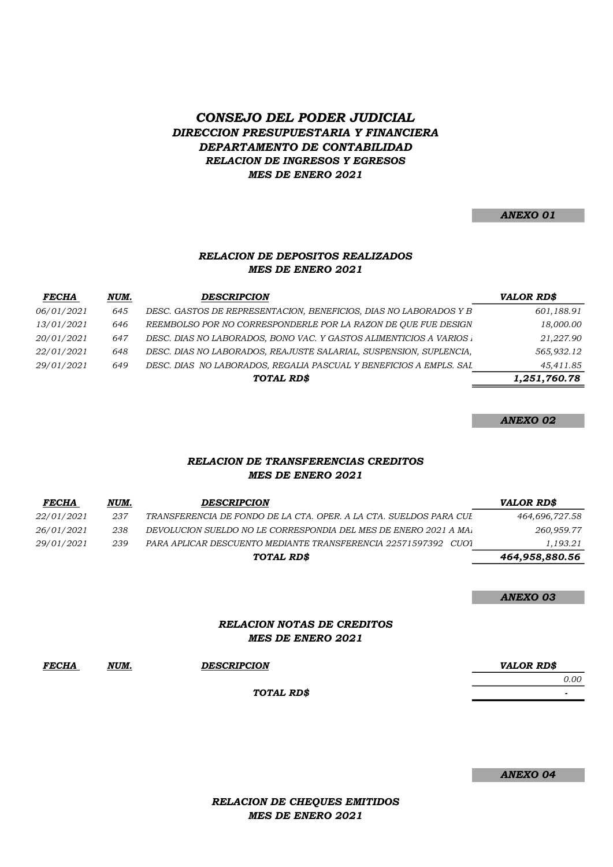# DIRECCION PRESUPUESTARIA Y FINANCIERA DEPARTAMENTO DE CONTABILIDAD CONSEJO DEL PODER JUDICIAL RELACION DE INGRESOS Y EGRESOS MES DE ENERO 2021

#### ANEXO 01

#### MES DE ENERO 2021 RELACION DE DEPOSITOS REALIZADOS

| <b>FECHA</b> | NUM. | <b>DESCRIPCION</b>                                                 | <b>VALOR RDS</b> |
|--------------|------|--------------------------------------------------------------------|------------------|
| 06/01/2021   | 645  | DESC. GASTOS DE REPRESENTACION, BENEFICIOS, DIAS NO LABORADOS Y B  | 601,188.91       |
| 13/01/2021   | 646  | REEMBOLSO POR NO CORRESPONDERLE POR LA RAZON DE QUE FUE DESIGN     | 18,000.00        |
| 20/01/2021   | 647  | DESC. DIAS NO LABORADOS, BONO VAC. Y GASTOS ALIMENTICIOS A VARIOS. | 21,227.90        |
| 22/01/2021   | 648  | DESC. DIAS NO LABORADOS, REAJUSTE SALARIAL, SUSPENSION, SUPLENCIA, | 565,932.12       |
| 29/01/2021   | 649  | DESC. DIAS NO LABORADOS, REGALIA PASCUAL Y BENEFICIOS A EMPLS. SAL | 45,411.85        |
|              |      | TOTAL RD\$                                                         | 1,251,760.78     |

ANEXO 02

## MES DE ENERO 2021 RELACION DE TRANSFERENCIAS CREDITOS

| <b>FECHA</b>      | NUM. | <b>DESCRIPCION</b>                                                 | <b>VALOR RD\$</b> |
|-------------------|------|--------------------------------------------------------------------|-------------------|
| <i>22/01/2021</i> | 237  | TRANSFERENCIA DE FONDO DE LA CTA. OPER. A LA CTA. SUELDOS PARA CUI | 464,696,727.58    |
| <i>26/01/2021</i> | 238  | DEVOLUCION SUELDO NO LE CORRESPONDIA DEL MES DE ENERO 2021 A MA.   | 260,959.77        |
| <i>29/01/2021</i> | 239  | PARA APLICAR DESCUENTO MEDIANTE TRANSFERENCIA 22571597392 CUO1     | 1,193.21          |
|                   |      | TOTAL RD\$                                                         | 464,958,880.56    |

ANEXO 03

#### RELACION NOTAS DE CREDITOS MES DE ENERO 2021

| <i>FECHA</i> | NUM.<br><u> 1980 - Johann Barnett, fransk politiker (</u> | <b>DESCRIPCION</b> | <b>VALOR RDS</b> |
|--------------|-----------------------------------------------------------|--------------------|------------------|
|              |                                                           |                    | 0.00             |
|              |                                                           | TOTAL RD\$         |                  |

ANEXO 04

RELACION DE CHEQUES EMITIDOS MES DE ENERO 2021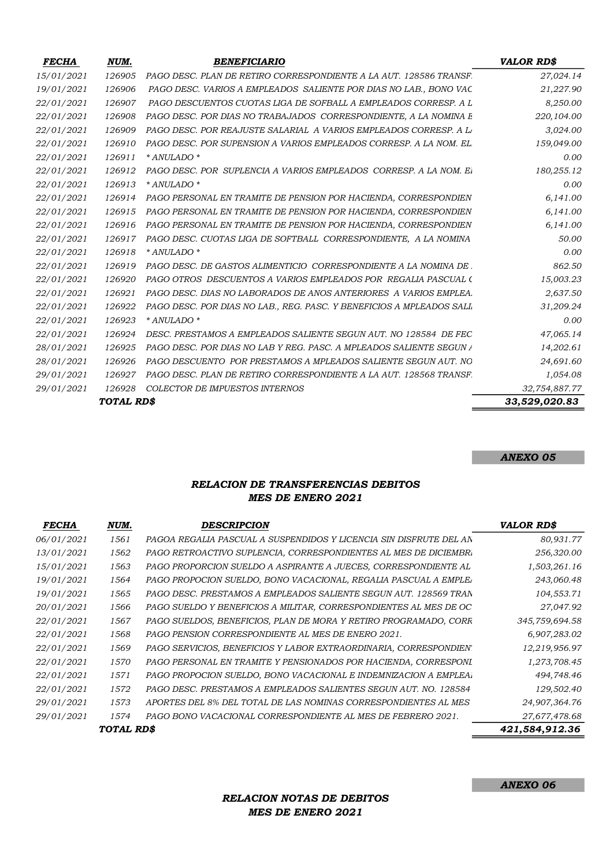| <b>FECHA</b> | NUM.       | <b>BENEFICIARIO</b>                                                  | <b>VALOR RD\$</b> |
|--------------|------------|----------------------------------------------------------------------|-------------------|
| 15/01/2021   | 126905     | PAGO DESC. PLAN DE RETIRO CORRESPONDIENTE A LA AUT. 128586 TRANSF    | 27,024.14         |
| 19/01/2021   | 126906     | PAGO DESC. VARIOS A EMPLEADOS SALIENTE POR DIAS NO LAB., BONO VAC    | 21,227.90         |
| 22/01/2021   | 126907     | PAGO DESCUENTOS CUOTAS LIGA DE SOFBALL A EMPLEADOS CORRESP. A L      | 8,250.00          |
| 22/01/2021   | 126908     | PAGO DESC. POR DIAS NO TRABAJADOS CORRESPONDIENTE, A LA NOMINA E     | 220,104.00        |
| 22/01/2021   | 126909     | PAGO DESC. POR REAJUSTE SALARIAL A VARIOS EMPLEADOS CORRESP. A L     | 3,024.00          |
| 22/01/2021   | 126910     | PAGO DESC. POR SUPENSION A VARIOS EMPLEADOS CORRESP. A LA NOM. EL    | 159,049.00        |
| 22/01/2021   | 126911     | * ANULADO *                                                          | 0.00              |
| 22/01/2021   | 126912     | PAGO DESC. POR SUPLENCIA A VARIOS EMPLEADOS CORRESP. A LA NOM. E.    | 180,255.12        |
| 22/01/2021   | 126913     | * ANULADO *                                                          | 0.00              |
| 22/01/2021   | 126914     | PAGO PERSONAL EN TRAMITE DE PENSION POR HACIENDA, CORRESPONDIEN      | 6,141.00          |
| 22/01/2021   | 126915     | PAGO PERSONAL EN TRAMITE DE PENSION POR HACIENDA, CORRESPONDIEN      | 6,141.00          |
| 22/01/2021   | 126916     | PAGO PERSONAL EN TRAMITE DE PENSION POR HACIENDA, CORRESPONDIEN      | 6,141.00          |
| 22/01/2021   | 126917     | PAGO DESC. CUOTAS LIGA DE SOFTBALL CORRESPONDIENTE, A LA NOMINA      | 50.00             |
| 22/01/2021   | 126918     | * ANULADO *                                                          | 0.00              |
| 22/01/2021   | 126919     | PAGO DESC. DE GASTOS ALIMENTICIO CORRESPONDIENTE A LA NOMINA DE      | 862.50            |
| 22/01/2021   | 126920     | PAGO OTROS DESCUENTOS A VARIOS EMPLEADOS POR REGALIA PASCUAL (       | 15,003.23         |
| 22/01/2021   | 126921     | PAGO DESC. DIAS NO LABORADOS DE ANOS ANTERIORES A VARIOS EMPLEA.     | 2,637.50          |
| 22/01/2021   | 126922     | PAGO DESC. POR DIAS NO LAB., REG. PASC. Y BENEFICIOS A MPLEADOS SALL | 31,209.24         |
| 22/01/2021   | 126923     | * ANULADO *                                                          | 0.00              |
| 22/01/2021   | 126924     | DESC. PRESTAMOS A EMPLEADOS SALIENTE SEGUN AUT. NO 128584 DE FEC     | 47,065.14         |
| 28/01/2021   | 126925     | PAGO DESC. POR DIAS NO LAB Y REG. PASC. A MPLEADOS SALIENTE SEGUN A  | 14,202.61         |
| 28/01/2021   | 126926     | PAGO DESCUENTO POR PRESTAMOS A MPLEADOS SALIENTE SEGUN AUT. NO       | 24,691.60         |
| 29/01/2021   | 126927     | PAGO DESC. PLAN DE RETIRO CORRESPONDIENTE A LA AUT. 128568 TRANSF.   | 1,054.08          |
| 29/01/2021   | 126928     | COLECTOR DE IMPUESTOS INTERNOS                                       | 32,754,887.77     |
|              | TOTAL RD\$ |                                                                      | 33,529,020.83     |

ANEXO 05

# RELACION DE TRANSFERENCIAS DEBITOS MES DE ENERO 2021

| PAGOA REGALIA PASCUAL A SUSPENDIDOS Y LICENCIA SIN DISFRUTE DEL AN<br>80,931.77<br>06/01/2021<br>1561<br>256,320.00<br>13/01/2021<br>1562<br>PAGO RETROACTIVO SUPLENCIA, CORRESPONDIENTES AL MES DE DICIEMBR.<br>15/01/2021<br>1563<br>1,503,261.16<br>PAGO PROPORCION SUELDO A ASPIRANTE A JUECES, CORRESPONDIENTE AL<br>19/01/2021<br>PAGO PROPOCION SUELDO, BONO VACACIONAL, REGALIA PASCUAL A EMPLE.<br>243,060.48<br>1564<br>19/01/2021<br>104,553.71<br>1565<br>PAGO DESC. PRESTAMOS A EMPLEADOS SALIENTE SEGUN AUT. 128569 TRAN<br>20/01/2021<br>1566<br>PAGO SUELDO Y BENEFICIOS A MILITAR, CORRESPONDIENTES AL MES DE OC<br>27,047.92<br>1567<br>PAGO SUELDOS, BENEFICIOS, PLAN DE MORA Y RETIRO PROGRAMADO, CORR<br>22/01/2021<br>345,759,694.58<br>22/01/2021<br>1568<br><b>PAGO PENSION CORRESPONDIENTE AL MES DE ENERO 2021.</b><br>6,907,283.02<br>12,219,956.97<br>22/01/2021<br>1569<br>PAGO SERVICIOS, BENEFICIOS Y LABOR EXTRAORDINARIA, CORRESPONDIEN<br>1570<br>22/01/2021<br>PAGO PERSONAL EN TRAMITE Y PENSIONADOS POR HACIENDA, CORRESPONI<br>1,273,708.45<br>22/01/2021<br>494,748.46<br>1571<br>PAGO PROPOCION SUELDO, BONO VACACIONAL E INDEMNIZACION A EMPLEA.<br>22/01/2021<br>1572<br>129,502.40<br>PAGO DESC. PRESTAMOS A EMPLEADOS SALIENTES SEGUN AUT. NO. 128584<br>1573<br>29/01/2021<br>24,907,364.76<br>APORTES DEL 8% DEL TOTAL DE LAS NOMINAS CORRESPONDIENTES AL MES<br>29/01/2021<br>1574<br>PAGO BONO VACACIONAL CORRESPONDIENTE AL MES DE FEBRERO 2021.<br>27,677,478.68<br>TOTAL RD\$<br>421,584,912.36 | <i>FECHA</i> | NUM. | <b>DESCRIPCION</b> | <b>VALOR RD\$</b> |
|----------------------------------------------------------------------------------------------------------------------------------------------------------------------------------------------------------------------------------------------------------------------------------------------------------------------------------------------------------------------------------------------------------------------------------------------------------------------------------------------------------------------------------------------------------------------------------------------------------------------------------------------------------------------------------------------------------------------------------------------------------------------------------------------------------------------------------------------------------------------------------------------------------------------------------------------------------------------------------------------------------------------------------------------------------------------------------------------------------------------------------------------------------------------------------------------------------------------------------------------------------------------------------------------------------------------------------------------------------------------------------------------------------------------------------------------------------------------------------------------------------------------------------------------------|--------------|------|--------------------|-------------------|
|                                                                                                                                                                                                                                                                                                                                                                                                                                                                                                                                                                                                                                                                                                                                                                                                                                                                                                                                                                                                                                                                                                                                                                                                                                                                                                                                                                                                                                                                                                                                                    |              |      |                    |                   |
|                                                                                                                                                                                                                                                                                                                                                                                                                                                                                                                                                                                                                                                                                                                                                                                                                                                                                                                                                                                                                                                                                                                                                                                                                                                                                                                                                                                                                                                                                                                                                    |              |      |                    |                   |
|                                                                                                                                                                                                                                                                                                                                                                                                                                                                                                                                                                                                                                                                                                                                                                                                                                                                                                                                                                                                                                                                                                                                                                                                                                                                                                                                                                                                                                                                                                                                                    |              |      |                    |                   |
|                                                                                                                                                                                                                                                                                                                                                                                                                                                                                                                                                                                                                                                                                                                                                                                                                                                                                                                                                                                                                                                                                                                                                                                                                                                                                                                                                                                                                                                                                                                                                    |              |      |                    |                   |
|                                                                                                                                                                                                                                                                                                                                                                                                                                                                                                                                                                                                                                                                                                                                                                                                                                                                                                                                                                                                                                                                                                                                                                                                                                                                                                                                                                                                                                                                                                                                                    |              |      |                    |                   |
|                                                                                                                                                                                                                                                                                                                                                                                                                                                                                                                                                                                                                                                                                                                                                                                                                                                                                                                                                                                                                                                                                                                                                                                                                                                                                                                                                                                                                                                                                                                                                    |              |      |                    |                   |
|                                                                                                                                                                                                                                                                                                                                                                                                                                                                                                                                                                                                                                                                                                                                                                                                                                                                                                                                                                                                                                                                                                                                                                                                                                                                                                                                                                                                                                                                                                                                                    |              |      |                    |                   |
|                                                                                                                                                                                                                                                                                                                                                                                                                                                                                                                                                                                                                                                                                                                                                                                                                                                                                                                                                                                                                                                                                                                                                                                                                                                                                                                                                                                                                                                                                                                                                    |              |      |                    |                   |
|                                                                                                                                                                                                                                                                                                                                                                                                                                                                                                                                                                                                                                                                                                                                                                                                                                                                                                                                                                                                                                                                                                                                                                                                                                                                                                                                                                                                                                                                                                                                                    |              |      |                    |                   |
|                                                                                                                                                                                                                                                                                                                                                                                                                                                                                                                                                                                                                                                                                                                                                                                                                                                                                                                                                                                                                                                                                                                                                                                                                                                                                                                                                                                                                                                                                                                                                    |              |      |                    |                   |
|                                                                                                                                                                                                                                                                                                                                                                                                                                                                                                                                                                                                                                                                                                                                                                                                                                                                                                                                                                                                                                                                                                                                                                                                                                                                                                                                                                                                                                                                                                                                                    |              |      |                    |                   |
|                                                                                                                                                                                                                                                                                                                                                                                                                                                                                                                                                                                                                                                                                                                                                                                                                                                                                                                                                                                                                                                                                                                                                                                                                                                                                                                                                                                                                                                                                                                                                    |              |      |                    |                   |
|                                                                                                                                                                                                                                                                                                                                                                                                                                                                                                                                                                                                                                                                                                                                                                                                                                                                                                                                                                                                                                                                                                                                                                                                                                                                                                                                                                                                                                                                                                                                                    |              |      |                    |                   |
|                                                                                                                                                                                                                                                                                                                                                                                                                                                                                                                                                                                                                                                                                                                                                                                                                                                                                                                                                                                                                                                                                                                                                                                                                                                                                                                                                                                                                                                                                                                                                    |              |      |                    |                   |
|                                                                                                                                                                                                                                                                                                                                                                                                                                                                                                                                                                                                                                                                                                                                                                                                                                                                                                                                                                                                                                                                                                                                                                                                                                                                                                                                                                                                                                                                                                                                                    |              |      |                    |                   |

RELACION NOTAS DE DEBITOS MES DE ENERO 2021

ANEXO 06